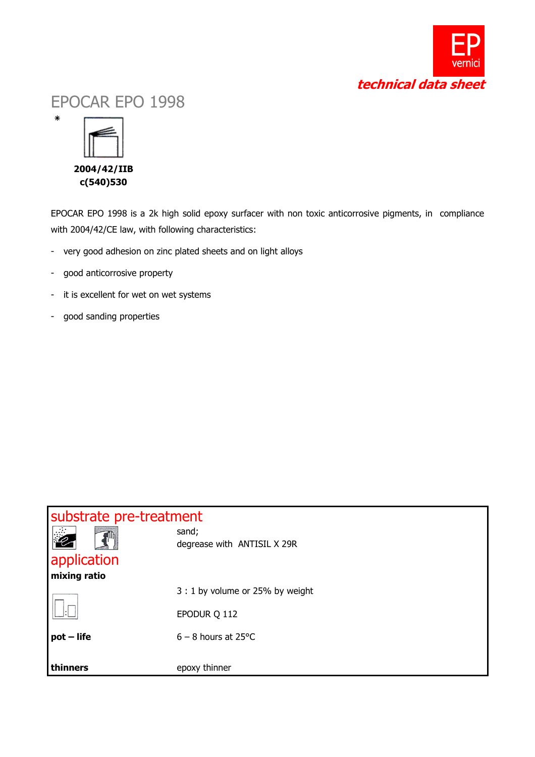

## EPOCAR EPO 1998



٭

EPOCAR EPO 1998 is a 2k high solid epoxy surfacer with non toxic anticorrosive pigments, in compliance with 2004/42/CE law, with following characteristics:

- very good adhesion on zinc plated sheets and on light alloys
- good anticorrosive property
- it is excellent for wet on wet systems
- good sanding properties

| substrate pre-treatment |                                      |  |  |
|-------------------------|--------------------------------------|--|--|
| 2<br>application        | sand;<br>degrease with ANTISIL X 29R |  |  |
| mixing ratio            |                                      |  |  |
|                         | 3 : 1 by volume or 25% by weight     |  |  |
|                         | EPODUR Q 112                         |  |  |
| $pot$ – life            | $6 - 8$ hours at 25 °C               |  |  |
|                         |                                      |  |  |
| thinners                | epoxy thinner                        |  |  |